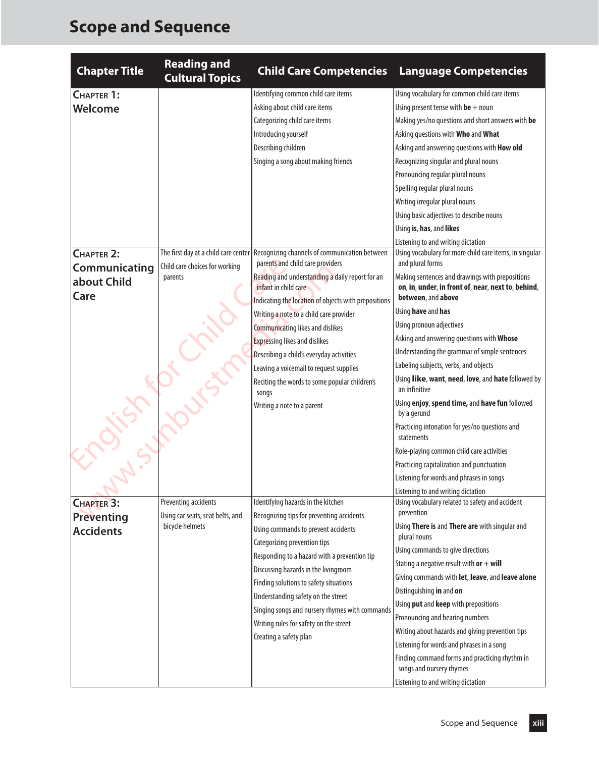## **Scope and Sequence**

| <b>Chapter Title</b>                   | <b>Reading and</b><br><b>Cultural Topics</b>             | <b>Child Care Competencies</b>                                                    | <b>Language Competencies</b>                                                |
|----------------------------------------|----------------------------------------------------------|-----------------------------------------------------------------------------------|-----------------------------------------------------------------------------|
| CHAPTER 1:                             |                                                          | Identifying common child care items                                               | Using vocabulary for common child care items                                |
| <b>Welcome</b>                         |                                                          | Asking about child care items                                                     | Using present tense with $be + noun$                                        |
|                                        |                                                          | Categorizing child care items                                                     | Making yes/no questions and short answers with be                           |
|                                        |                                                          | Introducing yourself                                                              | Asking questions with Who and What                                          |
|                                        |                                                          | Describing children                                                               | Asking and answering questions with How old                                 |
|                                        |                                                          | Singing a song about making friends                                               | Recognizing singular and plural nouns                                       |
|                                        |                                                          |                                                                                   | Pronouncing regular plural nouns                                            |
|                                        |                                                          |                                                                                   | Spelling regular plural nouns                                               |
|                                        |                                                          |                                                                                   | Writing irregular plural nouns                                              |
|                                        |                                                          |                                                                                   | Using basic adjectives to describe nouns                                    |
|                                        |                                                          |                                                                                   | Using is, has, and likes                                                    |
|                                        |                                                          |                                                                                   | Listening to and writing dictation                                          |
| CHAPTER 2:                             | The first day at a child care center                     | Recognizing channels of communication between<br>parents and child care providers | Using vocabulary for more child care items, in singular<br>and plural forms |
| Communicating                          | Child care choices for working<br>parents                | Reading and understanding a daily report for an                                   | Making sentences and drawings with prepositions                             |
| about Child                            |                                                          | infant in child care                                                              | on, in, under, in front of, near, next to, behind,                          |
| Care                                   |                                                          | Indicating the location of objects with prepositions                              | between, and above                                                          |
|                                        |                                                          | Writing a note to a child care provider                                           | Using have and has                                                          |
|                                        |                                                          | <b>Communicating likes and dislikes</b>                                           | Using pronoun adjectives                                                    |
|                                        |                                                          | <b>Expressing likes and dislikes</b>                                              | Asking and answering questions with Whose                                   |
|                                        |                                                          | Describing a child's everyday activities                                          | Understanding the grammar of simple sentences                               |
|                                        |                                                          | Leaving a voicemail to request supplies                                           | Labeling subjects, verbs, and objects                                       |
|                                        |                                                          | Reciting the words to some popular children's<br>songs                            | Using like, want, need, love, and hate followed by<br>an infinitive         |
|                                        |                                                          | Writing a note to a parent                                                        | Using enjoy, spend time, and have fun followed<br>by a gerund               |
|                                        |                                                          |                                                                                   | Practicing intonation for yes/no questions and<br>statements                |
| $\frac{\partial}{\partial x^2}$        |                                                          |                                                                                   | Role-playing common child care activities                                   |
|                                        |                                                          |                                                                                   | Practicing capitalization and punctuation                                   |
|                                        |                                                          |                                                                                   | Listening for words and phrases in songs                                    |
|                                        |                                                          |                                                                                   | Listening to and writing dictation                                          |
| <b>CHAPTER 3:</b><br><b>Preventing</b> | Preventing accidents<br>Using car seats, seat belts, and | Identifying hazards in the kitchen<br>Recognizing tips for preventing accidents   | Using vocabulary related to safety and accident<br>prevention               |
| <b>Accidents</b>                       | bicycle helmets                                          | Using commands to prevent accidents                                               | Using There is and There are with singular and<br>plural nouns              |
|                                        |                                                          | Categorizing prevention tips                                                      | Using commands to give directions                                           |
|                                        |                                                          | Responding to a hazard with a prevention tip                                      | Stating a negative result with $or + will$                                  |
|                                        |                                                          | Discussing hazards in the livingroom                                              | Giving commands with let, leave, and leave alone                            |
|                                        |                                                          | Finding solutions to safety situations                                            | Distinguishing in and on                                                    |
|                                        |                                                          | Understanding safety on the street                                                | Using put and keep with prepositions                                        |
|                                        |                                                          | Singing songs and nursery rhymes with commands                                    | Pronouncing and hearing numbers                                             |
|                                        |                                                          | Writing rules for safety on the street                                            | Writing about hazards and giving prevention tips                            |
|                                        |                                                          | Creating a safety plan                                                            | Listening for words and phrases in a song                                   |
|                                        |                                                          |                                                                                   | Finding command forms and practicing rhythm in<br>songs and nursery rhymes  |
|                                        |                                                          |                                                                                   | Listening to and writing dictation                                          |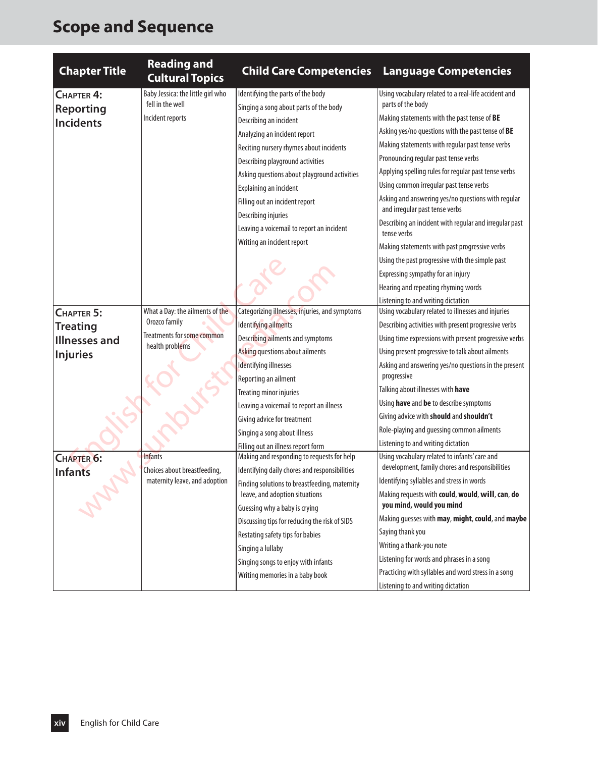## **Scope and Sequence**

| <b>Chapter Title</b>                                                     | <b>Reading and</b><br><b>Cultural Topics</b>                                                      | <b>Child Care Competencies</b>                                                                                                                                                                                                                                                                                                                                                                                                     | <b>Language Competencies</b>                                                                                                                                                                                                                                                                                                                                                                                                                                                                                                                                                                                                                                                          |
|--------------------------------------------------------------------------|---------------------------------------------------------------------------------------------------|------------------------------------------------------------------------------------------------------------------------------------------------------------------------------------------------------------------------------------------------------------------------------------------------------------------------------------------------------------------------------------------------------------------------------------|---------------------------------------------------------------------------------------------------------------------------------------------------------------------------------------------------------------------------------------------------------------------------------------------------------------------------------------------------------------------------------------------------------------------------------------------------------------------------------------------------------------------------------------------------------------------------------------------------------------------------------------------------------------------------------------|
| CHAPTER 4:<br><b>Reporting</b><br><b>Incidents</b>                       | Baby Jessica: the little girl who<br>fell in the well<br>Incident reports                         | Identifying the parts of the body<br>Singing a song about parts of the body<br>Describing an incident<br>Analyzing an incident report<br>Reciting nursery rhymes about incidents<br>Describing playground activities<br>Asking questions about playground activities<br>Explaining an incident<br>Filling out an incident report<br>Describing injuries<br>Leaving a voicemail to report an incident<br>Writing an incident report | Using vocabulary related to a real-life accident and<br>parts of the body<br>Making statements with the past tense of BE<br>Asking yes/no questions with the past tense of BE<br>Making statements with regular past tense verbs<br>Pronouncing regular past tense verbs<br>Applying spelling rules for regular past tense verbs<br>Using common irregular past tense verbs<br>Asking and answering yes/no questions with regular<br>and irregular past tense verbs<br>Describing an incident with regular and irregular past<br>tense verbs<br>Making statements with past progressive verbs<br>Using the past progressive with the simple past<br>Expressing sympathy for an injury |
|                                                                          |                                                                                                   |                                                                                                                                                                                                                                                                                                                                                                                                                                    | Hearing and repeating rhyming words<br>Listening to and writing dictation                                                                                                                                                                                                                                                                                                                                                                                                                                                                                                                                                                                                             |
| CHAPTER 5:<br><b>Treating</b><br><b>Illnesses and</b><br><b>Injuries</b> | What a Day: the ailments of the<br>Orozco family<br>Treatments for some common<br>health problems | Categorizing illnesses, injuries, and symptoms<br>Identifying ailments<br>Describing ailments and symptoms<br>Asking questions about ailments<br>Identifying illnesses<br>Reporting an ailment<br>Treating minor injuries<br>Leaving a voicemail to report an illness                                                                                                                                                              | Using vocabulary related to illnesses and injuries<br>Describing activities with present progressive verbs<br>Using time expressions with present progressive verbs<br>Using present progressive to talk about ailments<br>Asking and answering yes/no questions in the present<br>progressive<br>Talking about illnesses with have<br>Using have and be to describe symptoms<br>Giving advice with should and shouldn't                                                                                                                                                                                                                                                              |
| CHAPTER 6:<br><b>Infants</b>                                             | <b>Infants</b><br>Choices about breastfeeding,                                                    | Giving advice for treatment<br>Singing a song about illness<br>Filling out an illness report form<br>Making and responding to requests for help<br>Identifying daily chores and responsibilities                                                                                                                                                                                                                                   | Role-playing and guessing common ailments<br>Listening to and writing dictation<br>Using vocabulary related to infants' care and<br>development, family chores and responsibilities                                                                                                                                                                                                                                                                                                                                                                                                                                                                                                   |
|                                                                          | maternity leave, and adoption                                                                     | Finding solutions to breastfeeding, maternity<br>leave, and adoption situations<br>Guessing why a baby is crying<br>Discussing tips for reducing the risk of SIDS<br>Restating safety tips for babies<br>Singing a lullaby<br>Singing songs to enjoy with infants<br>Writing memories in a baby book                                                                                                                               | Identifying syllables and stress in words<br>Making requests with could, would, will, can, do<br>you mind, would you mind<br>Making guesses with may, might, could, and maybe<br>Saying thank you<br>Writing a thank-you note<br>Listening for words and phrases in a song<br>Practicing with syllables and word stress in a song<br>Listening to and writing dictation                                                                                                                                                                                                                                                                                                               |